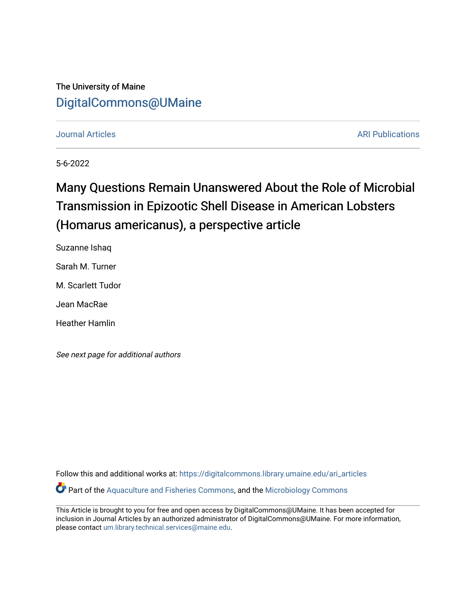## The University of Maine [DigitalCommons@UMaine](https://digitalcommons.library.umaine.edu/)

#### [Journal Articles](https://digitalcommons.library.umaine.edu/ari_articles) [ARI Publications](https://digitalcommons.library.umaine.edu/ari_publications)

5-6-2022

## Many Questions Remain Unanswered About the Role of Microbial Transmission in Epizootic Shell Disease in American Lobsters (Homarus americanus), a perspective article

Suzanne Ishaq Sarah M. Turner M. Scarlett Tudor Jean MacRae Heather Hamlin

See next page for additional authors

Follow this and additional works at: [https://digitalcommons.library.umaine.edu/ari\\_articles](https://digitalcommons.library.umaine.edu/ari_articles?utm_source=digitalcommons.library.umaine.edu%2Fari_articles%2F12&utm_medium=PDF&utm_campaign=PDFCoverPages) Part of the [Aquaculture and Fisheries Commons](http://network.bepress.com/hgg/discipline/78?utm_source=digitalcommons.library.umaine.edu%2Fari_articles%2F12&utm_medium=PDF&utm_campaign=PDFCoverPages), and the [Microbiology Commons](http://network.bepress.com/hgg/discipline/48?utm_source=digitalcommons.library.umaine.edu%2Fari_articles%2F12&utm_medium=PDF&utm_campaign=PDFCoverPages) 

This Article is brought to you for free and open access by DigitalCommons@UMaine. It has been accepted for inclusion in Journal Articles by an authorized administrator of DigitalCommons@UMaine. For more information, please contact [um.library.technical.services@maine.edu.](mailto:um.library.technical.services@maine.edu)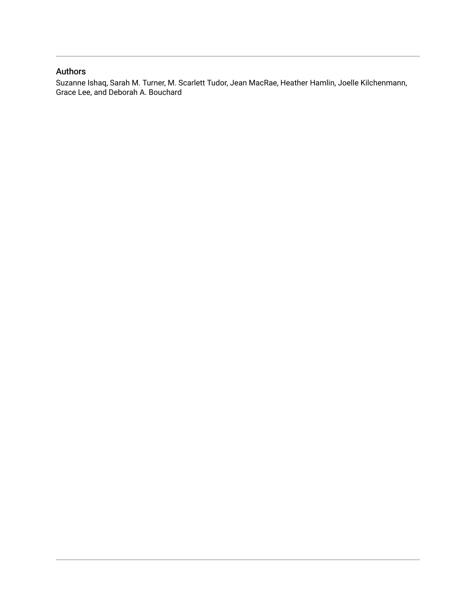## Authors

Suzanne Ishaq, Sarah M. Turner, M. Scarlett Tudor, Jean MacRae, Heather Hamlin, Joelle Kilchenmann, Grace Lee, and Deborah A. Bouchard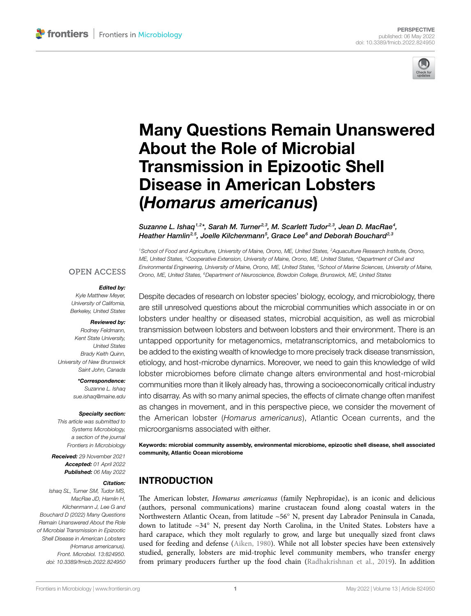

# [Many Questions Remain Unanswered](https://www.frontiersin.org/articles/10.3389/fmicb.2022.824950/full)  [About the Role of Microbial](https://www.frontiersin.org/articles/10.3389/fmicb.2022.824950/full)  [Transmission in Epizootic Shell](https://www.frontiersin.org/articles/10.3389/fmicb.2022.824950/full)  [Disease in American Lobsters](https://www.frontiersin.org/articles/10.3389/fmicb.2022.824950/full)  (*[Homarus americanus](https://www.frontiersin.org/articles/10.3389/fmicb.2022.824950/full)*)

Suzanne L. Ishaq<sup>1,2\*</sup>, Sarah M. Turner<sup>2,3</sup>, M. Scarlett Tudor<sup>2,3</sup>, Jean D. MacRae<sup>4</sup>, *Heather Hamlin2,5 , Joelle Kilchenmann5 , Grace Lee6 and Deborah Bouchard2,3*

*1School of Food and Agriculture, University of Maine, Orono, ME, United States, 2Aquaculture Research Institute, Orono, ME, United States, 3Cooperative Extension, University of Maine, Orono, ME, United States, 4Department of Civil and Environmental Engineering, University of Maine, Orono, ME, United States, 5School of Marine Sciences, University of Maine, Orono, ME, United States, 6Department of Neuroscience, Bowdoin College, Brunswick, ME, United States*

#### **OPEN ACCESS**

#### *Edited by:*

*Kyle Matthew Meyer, University of California, Berkeley, United States*

#### *Reviewed by:*

*Rodney Feldmann, Kent State University, United States Brady Keith Quinn, University of New Brunswick Saint John, Canada*

*\*Correspondence:* 

*Suzanne L. Ishaq [sue.ishaq@maine.edu](mailto:sue.ishaq@maine.edu)*

#### *Specialty section:*

*This article was submitted to Systems Microbiology, a section of the journal Frontiers in Microbiology*

*Received: 29 November 2021 Accepted: 01 April 2022 Published: 06 May 2022*

#### *Citation:*

*Ishaq SL, Turner SM, Tudor MS, MacRae JD, Hamlin H, Kilchenmann J, Lee G and Bouchard D (2022) Many Questions Remain Unanswered About the Role of Microbial Transmission in Epizootic Shell Disease in American Lobsters (Homarus americanus). Front. Microbiol. 13:824950. [doi: 10.3389/fmicb.2022.824950](https://doi.org/10.3389/fmicb.2022.824950)* Despite decades of research on lobster species' biology, ecology, and microbiology, there are still unresolved questions about the microbial communities which associate in or on lobsters under healthy or diseased states, microbial acquisition, as well as microbial transmission between lobsters and between lobsters and their environment. There is an untapped opportunity for metagenomics, metatranscriptomics, and metabolomics to be added to the existing wealth of knowledge to more precisely track disease transmission, etiology, and host-microbe dynamics. Moreover, we need to gain this knowledge of wild lobster microbiomes before climate change alters environmental and host-microbial communities more than it likely already has, throwing a socioeconomically critical industry into disarray. As with so many animal species, the effects of climate change often manifest as changes in movement, and in this perspective piece, we consider the movement of the American lobster (*Homarus americanus*), Atlantic Ocean currents, and the microorganisms associated with either.

Keywords: microbial community assembly, environmental microbiome, epizootic shell disease, shell associated community, Atlantic Ocean microbiome

#### INTRODUCTION

The American lobster, *Homarus americanus* (family Nephropidae), is an iconic and delicious (authors, personal communications) marine crustacean found along coastal waters in the Northwestern Atlantic Ocean, from latitude ~56° N, present day Labrador Peninsula in Canada, down to latitude  $\sim$ 34 $\textdegree$  N, present day North Carolina, in the United States. Lobsters have a hard carapace, which they molt regularly to grow, and large but unequally sized front claws used for feeding and defense ([Aiken, 1980](#page-7-0)). While not all lobster species have been extensively studied, generally, lobsters are mid-trophic level community members, who transfer energy from primary producers further up the food chain [\(Radhakrishnan et al., 2019\)](#page-9-0). In addition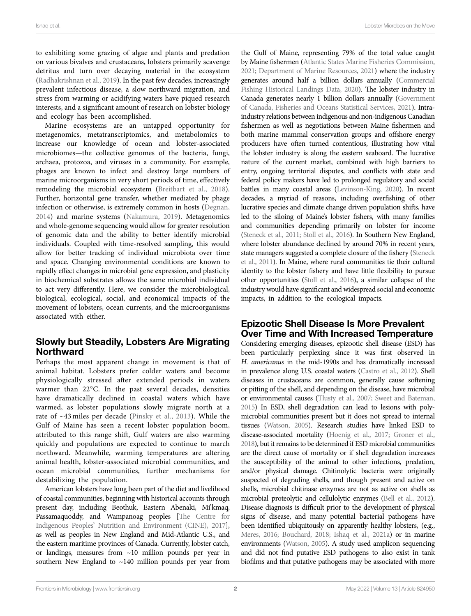to exhibiting some grazing of algae and plants and predation on various bivalves and crustaceans, lobsters primarily scavenge detritus and turn over decaying material in the ecosystem ([Radhakrishnan et al., 2019\)](#page-9-0). In the past few decades, increasingly prevalent infectious disease, a slow northward migration, and stress from warming or acidifying waters have piqued research interests, and a significant amount of research on lobster biology and ecology has been accomplished.

Marine ecosystems are an untapped opportunity for metagenomics, metatranscriptomics, and metabolomics to increase our knowledge of ocean and lobster-associated microbiomes—the collective genomes of the bacteria, fungi, archaea, protozoa, and viruses in a community. For example, phages are known to infect and destroy large numbers of marine microorganisms in very short periods of time, effectively remodeling the microbial ecosystem [\(Breitbart et al., 2018](#page-8-0)). Further, horizontal gene transfer, whether mediated by phage infection or otherwise, is extremely common in hosts [\(Degnan,](#page-8-1)  [2014\)](#page-8-1) and marine systems ([Nakamura, 2019\)](#page-9-1). Metagenomics and whole-genome sequencing would allow for greater resolution of genomic data and the ability to better identify microbial individuals. Coupled with time-resolved sampling, this would allow for better tracking of individual microbiota over time and space. Changing environmental conditions are known to rapidly effect changes in microbial gene expression, and plasticity in biochemical substrates allows the same microbial individual to act very differently. Here, we consider the microbiological, biological, ecological, social, and economical impacts of the movement of lobsters, ocean currents, and the microorganisms associated with either.

#### Slowly but Steadily, Lobsters Are Migrating Northward

Perhaps the most apparent change in movement is that of animal habitat. Lobsters prefer colder waters and become physiologically stressed after extended periods in waters warmer than 22°C. In the past several decades, densities have dramatically declined in coastal waters which have warmed, as lobster populations slowly migrate north at a rate of ~43 miles per decade ([Pinsky et al., 2013](#page-9-2)). While the Gulf of Maine has seen a recent lobster population boom, attributed to this range shift, Gulf waters are also warming quickly and populations are expected to continue to march northward. Meanwhile, warming temperatures are altering animal health, lobster-associated microbial communities, and ocean microbial communities, further mechanisms for destabilizing the population.

American lobsters have long been part of the diet and livelihood of coastal communities, beginning with historical accounts through present day, including Beothuk, Eastern Abenaki, Mi'kmaq, Passamaquoddy, and Wampanoag peoples [\[The Centre for](#page-9-3)  [Indigenous Peoples' Nutrition and Environment \(CINE\), 2017](#page-9-3)], as well as peoples in New England and Mid-Atlantic U.S., and the eastern maritime provinces of Canada. Currently, lobster catch, or landings, measures from ~10 million pounds per year in southern New England to ~140 million pounds per year from

the Gulf of Maine, representing 79% of the total value caught by Maine fishermen [\(Atlantic States Marine Fisheries Commission,](#page-7-1)  [2021](#page-7-1); [Department of Marine Resources, 2021](#page-8-2)) where the industry generates around half a billion dollars annually [\(Commercial](#page-8-3)  [Fishing Historical Landings Data, 2020](#page-8-3)). The lobster industry in Canada generates nearly 1 billion dollars annually [\(Government](#page-8-4)  [of Canada, Fisheries and Oceans Statistical Services, 2021](#page-8-4)). Intraindustry relations between indigenous and non-indigenous Canadian fishermen as well as negotiations between Maine fishermen and both marine mammal conservation groups and offshore energy producers have often turned contentious, illustrating how vital the lobster industry is along the eastern seaboard. The lucrative nature of the current market, combined with high barriers to entry, ongoing territorial disputes, and conflicts with state and federal policy makers have led to prolonged regulatory and social battles in many coastal areas [\(Levinson-King, 2020\)](#page-8-5). In recent decades, a myriad of reasons, including overfishing of other lucrative species and climate change driven population shifts, have led to the siloing of Maine's lobster fishers, with many families and communities depending primarily on lobster for income [\(Steneck et al., 2011;](#page-9-4) [Stoll et al., 2016](#page-9-5)). In Southern New England, where lobster abundance declined by around 70% in recent years, state managers suggested a complete closure of the fishery ([Steneck](#page-9-4)  [et al., 2011](#page-9-4)). In Maine, where rural communities tie their cultural identity to the lobster fishery and have little flexibility to pursue other opportunities ([Stoll et al., 2016](#page-9-5)), a similar collapse of the industry would have significant and widespread social and economic impacts, in addition to the ecological impacts.

#### Epizootic Shell Disease Is More Prevalent Over Time and With Increased Temperature

Considering emerging diseases, epizootic shell disease (ESD) has been particularly perplexing since it was first observed in *H. americanus* in the mid-1990s and has dramatically increased in prevalence along U.S. coastal waters [\(Castro et al., 2012\)](#page-8-6). Shell diseases in crustaceans are common, generally cause softening or pitting of the shell, and depending on the disease, have microbial or environmental causes [\(Tlusty et al., 2007;](#page-9-6) [Sweet and Bateman,](#page-9-7)  [2015](#page-9-7)) In ESD, shell degradation can lead to lesions with polymicrobial communities present but it does not spread to internal tissues [\(Watson, 2005\)](#page-9-8). Research studies have linked ESD to disease-associated mortality [\(Hoenig et al., 2017;](#page-8-7) [Groner et al.,](#page-8-8)  [2018\)](#page-8-8), but it remains to be determined if ESD microbial communities are the direct cause of mortality or if shell degradation increases the susceptibility of the animal to other infections, predation, and/or physical damage. Chitinolytic bacteria were originally suspected of degrading shells, and though present and active on shells, microbial chitinase enzymes are not as active on shells as microbial proteolytic and cellulolytic enzymes [\(Bell et al., 2012\)](#page-8-9). Disease diagnosis is difficult prior to the development of physical signs of disease, and many potential bacterial pathogens have been identified ubiquitously on apparently healthy lobsters, (e.g., [Meres, 2016;](#page-9-9) [Bouchard, 2018](#page-8-10); [Ishaq et al., 2021a\)](#page-8-11) or in marine environments [\(Watson, 2005](#page-9-8)). A study used amplicon sequencing and did not find putative ESD pathogens to also exist in tank biofilms and that putative pathogens may be associated with more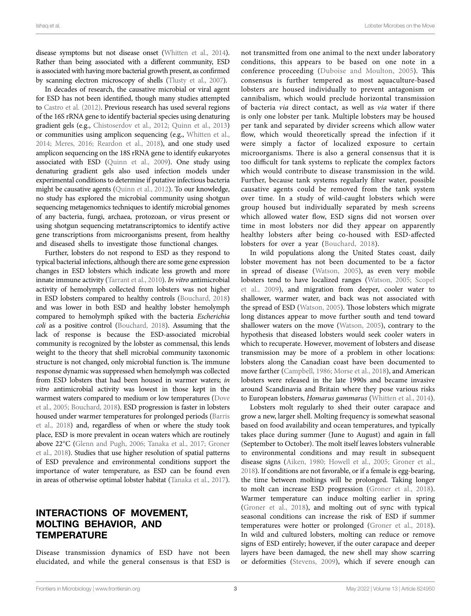Ishaq et al. Lobster Microbes on the Move

disease symptoms but not disease onset ([Whitten et al., 2014](#page-9-10)). Rather than being associated with a different community, ESD is associated with having more bacterial growth present, as confirmed by scanning electron microscopy of shells [\(Tlusty et al., 2007](#page-9-6)).

In decades of research, the causative microbial or viral agent for ESD has not been identified, though many studies attempted to [Castro et al. \(2012\)](#page-8-6). Previous research has used several regions of the 16S rRNA gene to identify bacterial species using denaturing gradient gels (e.g., [Chistoserdov et al., 2012;](#page-8-12) [Quinn et al., 2013](#page-9-11)) or communities using amplicon sequencing (e.g., [Whitten et al.,](#page-9-10)  [2014](#page-9-10); [Meres, 2016;](#page-9-9) [Reardon et al., 2018\)](#page-9-12), and one study used amplicon sequencing on the 18S rRNA gene to identify eukaryotes associated with ESD [\(Quinn et al., 2009](#page-9-13)). One study using denaturing gradient gels also used infection models under experimental conditions to determine if putative infectious bacteria might be causative agents [\(Quinn et al., 2012](#page-9-14)). To our knowledge, no study has explored the microbial community using shotgun sequencing metagenomics techniques to identify microbial genomes of any bacteria, fungi, archaea, protozoan, or virus present or using shotgun sequencing metatranscriptomics to identify active gene transcriptions from microorganisms present, from healthy and diseased shells to investigate those functional changes.

Further, lobsters do not respond to ESD as they respond to typical bacterial infections, although there are some gene expression changes in ESD lobsters which indicate less growth and more innate immune activity [\(Tarrant et al., 2010\)](#page-9-15). *In vitro* antimicrobial activity of hemolymph collected from lobsters was not higher in ESD lobsters compared to healthy controls ([Bouchard, 2018](#page-8-10)) and was lower in both ESD and healthy lobster hemolymph compared to hemolymph spiked with the bacteria *Escherichia coli* as a positive control ([Bouchard, 2018](#page-8-10)). Assuming that the lack of response is because the ESD-associated microbial community is recognized by the lobster as commensal, this lends weight to the theory that shell microbial community taxonomic structure is not changed, only microbial function is. The immune response dynamic was suppressed when hemolymph was collected from ESD lobsters that had been housed in warmer waters; *in vitro* antimicrobial activity was lowest in those kept in the warmest waters compared to medium or low temperatures ([Dove](#page-8-13)  [et al., 2005](#page-8-13); [Bouchard, 2018](#page-8-10)). ESD progression is faster in lobsters housed under warmer temperatures for prolonged periods [\(Barris](#page-7-2)  [et al., 2018\)](#page-7-2) and, regardless of when or where the study took place, ESD is more prevalent in ocean waters which are routinely above 22°C [\(Glenn and Pugh, 2006](#page-8-14); [Tanaka et al., 2017](#page-9-16); [Groner](#page-8-8)  [et al., 2018](#page-8-8)). Studies that use higher resolution of spatial patterns of ESD prevalence and environmental conditions support the importance of water temperature, as ESD can be found even in areas of otherwise optimal lobster habitat ([Tanaka et al., 2017](#page-9-16)).

#### INTERACTIONS OF MOVEMENT, MOLTING BEHAVIOR, AND **TEMPERATURE**

Disease transmission dynamics of ESD have not been elucidated, and while the general consensus is that ESD is

not transmitted from one animal to the next under laboratory conditions, this appears to be based on one note in a conference proceeding ([Duboise and Moulton, 2005\)](#page-8-15). This consensus is further tempered as most aquaculture-based lobsters are housed individually to prevent antagonism or cannibalism, which would preclude horizontal transmission of bacteria *via* direct contact, as well as *via* water if there is only one lobster per tank. Multiple lobsters may be housed per tank and separated by divider screens which allow water flow, which would theoretically spread the infection if it were simply a factor of localized exposure to certain microorganisms. There is also a general consensus that it is too difficult for tank systems to replicate the complex factors which would contribute to disease transmission in the wild. Further, because tank systems regularly filter water, possible causative agents could be removed from the tank system over time. In a study of wild-caught lobsters which were group housed but individually separated by mesh screens which allowed water flow, ESD signs did not worsen over time in most lobsters nor did they appear on apparently healthy lobsters after being co-housed with ESD-affected lobsters for over a year [\(Bouchard, 2018](#page-8-10)).

In wild populations along the United States coast, daily lobster movement has not been documented to be a factor in spread of disease [\(Watson, 2005](#page-9-8)), as even very mobile lobsters tend to have localized ranges ([Watson, 2005](#page-9-8); [Scopel](#page-9-17)  [et al., 2009\)](#page-9-17), and migration from deeper, cooler water to shallower, warmer water, and back was not associated with the spread of ESD ([Watson, 2005](#page-9-8)). Those lobsters which migrate long distances appear to move further south and tend toward shallower waters on the move [\(Watson, 2005\)](#page-9-8), contrary to the hypothesis that diseased lobsters would seek cooler waters in which to recuperate. However, movement of lobsters and disease transmission may be more of a problem in other locations: lobsters along the Canadian coast have been documented to move farther ([Campbell, 1986;](#page-8-16) [Morse et al., 2018](#page-9-18)), and American lobsters were released in the late 1990s and became invasive around Scandinavia and Britain where they pose various risks to European lobsters, *Homarus gammarus* ([Whitten et al., 2014](#page-9-10)).

Lobsters molt regularly to shed their outer carapace and grow a new, larger shell. Molting frequency is somewhat seasonal based on food availability and ocean temperatures, and typically takes place during summer (June to August) and again in fall (September to October). The molt itself leaves lobsters vulnerable to environmental conditions and may result in subsequent disease signs ([Aiken, 1980](#page-7-0); [Howell et al., 2005](#page-8-17); [Groner et al.,](#page-8-8)  [2018\)](#page-8-8). If conditions are not favorable, or if a female is egg-bearing, the time between moltings will be prolonged. Taking longer to molt can increase ESD progression ([Groner et al., 2018](#page-8-8)). Warmer temperature can induce molting earlier in spring [\(Groner et al., 2018](#page-8-8)), and molting out of sync with typical seasonal conditions can increase the risk of ESD if summer temperatures were hotter or prolonged ([Groner et al., 2018](#page-8-8)). In wild and cultured lobsters, molting can reduce or remove signs of ESD entirely; however, if the outer carapace and deeper layers have been damaged, the new shell may show scarring or deformities [\(Stevens, 2009](#page-9-19)), which if severe enough can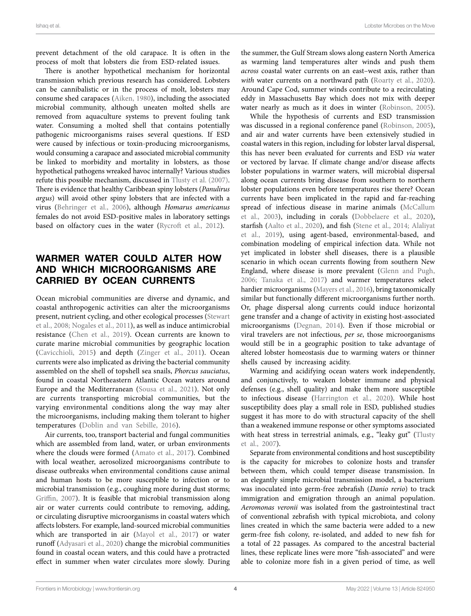prevent detachment of the old carapace. It is often in the process of molt that lobsters die from ESD-related issues.

There is another hypothetical mechanism for horizontal transmission which previous research has considered. Lobsters can be cannibalistic or in the process of molt, lobsters may consume shed carapaces ([Aiken, 1980\)](#page-7-0), including the associated microbial community, although uneaten molted shells are removed from aquaculture systems to prevent fouling tank water. Consuming a molted shell that contains potentially pathogenic microorganisms raises several questions. If ESD were caused by infectious or toxin-producing microorganisms, would consuming a carapace and associated microbial community be linked to morbidity and mortality in lobsters, as those hypothetical pathogens wreaked havoc internally? Various studies refute this possible mechanism, discussed in [Tlusty et al. \(2007\)](#page-9-6). There is evidence that healthy Caribbean spiny lobsters (*Panulirus argus*) will avoid other spiny lobsters that are infected with a virus [\(Behringer et al., 2006\)](#page-7-3), although *Homarus americanus* females do not avoid ESD-positive males in laboratory settings based on olfactory cues in the water (Rycroft et al., 2012).

## WARMER WATER COULD ALTER HOW AND WHICH MICROORGANISMS ARE CARRIED BY OCEAN CURRENTS

Ocean microbial communities are diverse and dynamic, and coastal anthropogenic activities can alter the microorganisms present, nutrient cycling, and other ecological processes [\(Stewart](#page-9-21)  [et al., 2008](#page-9-21); [Nogales et al., 2011\)](#page-9-22), as well as induce antimicrobial resistance ([Chen et al., 2019\)](#page-8-18). Ocean currents are known to curate marine microbial communities by geographic location ([Cavicchioli, 2015\)](#page-8-19) and depth ([Zinger et al., 2011\)](#page-9-23). Ocean currents were also implicated as driving the bacterial community assembled on the shell of topshell sea snails, *Phorcus sauciatus*, found in coastal Northeastern Atlantic Ocean waters around Europe and the Mediterranean [\(Sousa et al., 2021\)](#page-9-24). Not only are currents transporting microbial communities, but the varying environmental conditions along the way may alter the microorganisms, including making them tolerant to higher temperatures ([Doblin and van Sebille, 2016](#page-8-20)).

Air currents, too, transport bacterial and fungal communities which are assembled from land, water, or urban environments where the clouds were formed ([Amato et al., 2017\)](#page-7-4). Combined with local weather, aerosolized microorganisms contribute to disease outbreaks when environmental conditions cause animal and human hosts to be more susceptible to infection or to microbial transmission (e.g., coughing more during dust storms; [Griffin, 2007](#page-8-21)). It is feasible that microbial transmission along air or water currents could contribute to removing, adding, or circulating disruptive microorganisms in coastal waters which affects lobsters. For example, land-sourced microbial communities which are transported in air [\(Mayol et al., 2017\)](#page-8-22) or water runoff [\(Adyasari et al., 2020](#page-7-5)) change the microbial communities found in coastal ocean waters, and this could have a protracted effect in summer when water circulates more slowly. During the summer, the Gulf Stream slows along eastern North America as warming land temperatures alter winds and push them *across* coastal water currents on an east–west axis, rather than with water currents on a northward path (Roarty et al., 2020). Around Cape Cod, summer winds contribute to a recirculating eddy in Massachusetts Bay which does not mix with deeper water nearly as much as it does in winter [\(Robinson, 2005](#page-9-26)).

While the hypothesis of currents and ESD transmission was discussed in a regional conference panel [\(Robinson, 2005](#page-9-26)), and air and water currents have been extensively studied in coastal waters in this region, including for lobster larval dispersal, this has never been evaluated for currents and ESD *via* water or vectored by larvae. If climate change and/or disease affects lobster populations in warmer waters, will microbial dispersal along ocean currents bring disease from southern to northern lobster populations even before temperatures rise there? Ocean currents have been implicated in the rapid and far-reaching spread of infectious disease in marine animals ([McCallum](#page-9-27)  [et al., 2003\)](#page-9-27), including in corals [\(Dobbelaere et al., 2020](#page-8-23)), starfish ([Aalto et al., 2020](#page-7-6)), and fish ([Stene et al., 2014](#page-9-28); [Alaliyat](#page-7-7)  [et al., 2019\)](#page-7-7), using agent-based, environmental-based, and combination modeling of empirical infection data. While not yet implicated in lobster shell diseases, there is a plausible scenario in which ocean currents flowing from southern New England, where disease is more prevalent ([Glenn and Pugh,](#page-8-14)  [2006;](#page-8-14) [Tanaka et al., 2017](#page-9-16)) and warmer temperatures select hardier microorganisms ([Mayers et al., 2016\)](#page-8-24), bring taxonomically similar but functionally different microorganisms further north. Or, phage dispersal along currents could induce horizontal gene transfer and a change of activity in existing host-associated microorganisms ([Degnan, 2014](#page-8-1)). Even if those microbial or viral travelers are not infectious, *per se*, those microorganisms would still be in a geographic position to take advantage of altered lobster homeostasis due to warming waters or thinner shells caused by increasing acidity.

Warming and acidifying ocean waters work independently, and conjunctively, to weaken lobster immune and physical defenses (e.g., shell quality) and make them more susceptible to infectious disease [\(Harrington et al., 2020\)](#page-8-25). While host susceptibility does play a small role in ESD, published studies suggest it has more to do with structural capacity of the shell than a weakened immune response or other symptoms associated with heat stress in terrestrial animals, e.g., "leaky gut" [\(Tlusty](#page-9-6)  [et al., 2007](#page-9-6)).

Separate from environmental conditions and host susceptibility is the capacity for microbes to colonize hosts and transfer between them, which could temper disease transmission. In an elegantly simple microbial transmission model, a bacterium was inoculated into germ-free zebrafish (*Danio rerio*) to track immigration and emigration through an animal population. *Aeromonas veronii* was isolated from the gastrointestinal tract of conventional zebrafish with typical microbiota, and colony lines created in which the same bacteria were added to a new germ-free fish colony, re-isolated, and added to new fish for a total of 22 passages. As compared to the ancestral bacterial lines, these replicate lines were more "fish-associated" and were able to colonize more fish in a given period of time, as well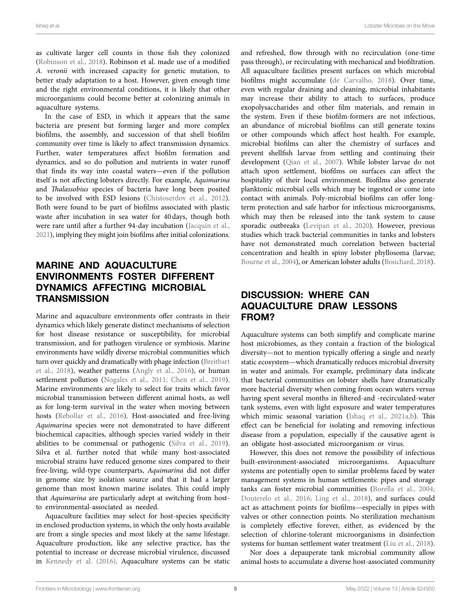as cultivate larger cell counts in those fish they colonized ([Robinson et al., 2018\)](#page-9-29). Robinson et al. made use of a modified *A. veronii* with increased capacity for genetic mutation, to better study adaptation to a host. However, given enough time and the right environmental conditions, it is likely that other microorganisms could become better at colonizing animals in aquaculture systems.

In the case of ESD, in which it appears that the same bacteria are present but forming larger and more complex biofilms, the assembly, and succession of that shell biofilm community over time is likely to affect transmission dynamics. Further, water temperatures affect biofilm formation and dynamics, and so do pollution and nutrients in water runoff that finds its way into coastal waters—even if the pollution itself is not affecting lobsters directly. For example, *Aquimarina* and *Thalassobius* species of bacteria have long been posited to be involved with ESD lesions ([Chistoserdov et al., 2012](#page-8-12)). Both were found to be part of biofilms associated with plastic waste after incubation in sea water for 40days, though both were rare until after a further 94-day incubation [\(Jacquin et al.,](#page-8-26)  [2021](#page-8-26)), implying they might join biofilms after initial colonizations.

## MARINE AND AQUACULTURE ENVIRONMENTS FOSTER DIFFERENT DYNAMICS AFFECTING MICROBIAL **TRANSMISSION**

Marine and aquaculture environments offer contrasts in their dynamics which likely generate distinct mechanisms of selection for host disease resistance or susceptibility, for microbial transmission, and for pathogen virulence or symbiosis. Marine environments have wildly diverse microbial communities which turn over quickly and dramatically with phage infection [\(Breitbart](#page-8-0)  [et al., 2018](#page-8-0)), weather patterns [\(Angly et al., 2016\)](#page-7-8), or human settlement pollution (Nogales et al., 2011; Chen et al., 2019). Marine environments are likely to select for traits which favor microbial transmission between different animal hosts, as well as for long-term survival in the water when moving between hosts [\(Rebollar et al., 2016](#page-9-30)). Host-associated and free-living *Aquimarina* species were not demonstrated to have different biochemical capacities, although species varied widely in their abilities to be commensal or pathogenic (Silva et al., 2019). Silva et al. further noted that while many host-associated microbial strains have reduced genome sizes compared to their free-living, wild-type counterparts, *Aquimarina* did not differ in genome size by isolation source and that it had a larger genome than most known marine isolates. This could imply that *Aquimarina* are particularly adept at switching from hostto environmental-associated as needed.

Aquaculture facilities may select for host-species specificity in enclosed production systems, in which the only hosts available are from a single species and most likely at the same lifestage. Aquaculture production, like any selective practice, has the potential to increase or decrease microbial virulence, discussed in [Kennedy et al. \(2016\)](#page-8-27). Aquaculture systems can be static

and refreshed, flow through with no recirculation (one-time pass through), or recirculating with mechanical and biofiltration. All aquaculture facilities present surfaces on which microbial biofilms might accumulate [\(de Carvalho, 2018](#page-8-28)). Over time, even with regular draining and cleaning, microbial inhabitants may increase their ability to attach to surfaces, produce exopolysaccharides and other film materials, and remain in the system. Even if these biofilm-formers are not infectious, an abundance of microbial biofilms can still generate toxins or other compounds which affect host health. For example, microbial biofilms can alter the chemistry of surfaces and prevent shellfish larvae from settling and continuing their development (Qian et al., 2007). While lobster larvae do not attach upon settlement, biofilms on surfaces can affect the hospitality of their local environment. Biofilms also generate planktonic microbial cells which may be ingested or come into contact with animals. Poly-microbial biofilms can offer longterm protection and safe harbor for infectious microorganisms, which may then be released into the tank system to cause sporadic outbreaks (Levipan et al., 2020). However, previous studies which track bacterial communities in tanks and lobsters have not demonstrated much correlation between bacterial concentration and health in spiny lobster phyllosoma (larvae; [Bourne et al., 2004](#page-8-30)), or American lobster adults [\(Bouchard, 2018\)](#page-8-10).

#### DISCUSSION: WHERE CAN AQUACULTURE DRAW LESSONS FROM?

Aquaculture systems can both simplify and complicate marine host microbiomes, as they contain a fraction of the biological diversity—not to mention typically offering a single and nearly static ecosystem—which dramatically reduces microbial diversity in water and animals. For example, preliminary data indicate that bacterial communities on lobster shells have dramatically more bacterial diversity when coming from ocean waters versus having spent several months in filtered-and -recirculated-water tank systems, even with light exposure and water temperatures which mimic seasonal variation (Ishaq et al., 2021a,[b](#page-8-31)). This effect can be beneficial for isolating and removing infectious disease from a population, especially if the causative agent is an obligate host-associated microorganism or virus.

However, this does not remove the possibility of infectious built-environment-associated microorganisms. Aquaculture systems are potentially open to similar problems faced by water management systems in human settlements: pipes and storage tanks can foster microbial communities ([Borella et al., 2004;](#page-8-32) [Douterelo et al., 2016](#page-8-33); [Ling et al., 2018](#page-8-34)), and surfaces could act as attachment points for biofilms—especially in pipes with valves or other connection points. No sterilization mechanism is completely effective forever, either, as evidenced by the selection of chlorine-tolerant microorganisms in disinfection systems for human settlement water treatment [\(Liu et al., 2018](#page-8-35)).

Nor does a depauperate tank microbial community allow animal hosts to accumulate a diverse host-associated community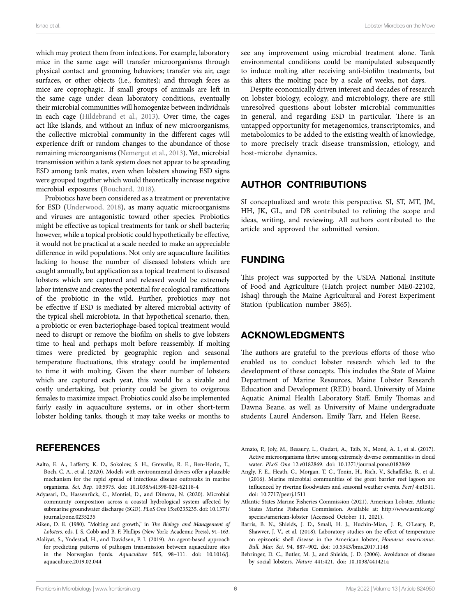which may protect them from infections. For example, laboratory mice in the same cage will transfer microorganisms through physical contact and grooming behaviors; transfer *via* air, cage surfaces, or other objects (i.e., fomites); and through feces as mice are coprophagic. If small groups of animals are left in the same cage under clean laboratory conditions, eventually their microbial communities will homogenize between individuals in each cage ([Hildebrand et al., 2013\)](#page-8-36). Over time, the cages act like islands, and without an influx of new microorganisms, the collective microbial community in the different cages will experience drift or random changes to the abundance of those remaining microorganisms [\(Nemergut et al., 2013](#page-9-33)). Yet, microbial transmission within a tank system does not appear to be spreading ESD among tank mates, even when lobsters showing ESD signs were grouped together which would theoretically increase negative microbial exposures ([Bouchard, 2018\)](#page-8-10).

Probiotics have been considered as a treatment or preventative for ESD ([Underwood, 2018](#page-9-34)), as many aquatic microorganisms and viruses are antagonistic toward other species. Probiotics might be effective as topical treatments for tank or shell bacteria; however, while a topical probiotic could hypothetically be effective, it would not be practical at a scale needed to make an appreciable difference in wild populations. Not only are aquaculture facilities lacking to house the number of diseased lobsters which are caught annually, but application as a topical treatment to diseased lobsters which are captured and released would be extremely labor intensive and creates the potential for ecological ramifications of the probiotic in the wild. Further, probiotics may not be effective if ESD is mediated by altered microbial activity of the typical shell microbiota. In that hypothetical scenario, then, a probiotic or even bacteriophage-based topical treatment would need to disrupt or remove the biofilm on shells to give lobsters time to heal and perhaps molt before reassembly. If molting times were predicted by geographic region and seasonal temperature fluctuations, this strategy could be implemented to time it with molting. Given the sheer number of lobsters which are captured each year, this would be a sizable and costly undertaking, but priority could be given to ovigerous females to maximize impact. Probiotics could also be implemented fairly easily in aquaculture systems, or in other short-term lobster holding tanks, though it may take weeks or months to

#### **REFERENCES**

- <span id="page-7-6"></span>Aalto, E. A., Lafferty, K. D., Sokolow, S. H., Grewelle, R. E., Ben-Horin, T., Boch, C. A., et al. (2020). Models with environmental drivers offer a plausible mechanism for the rapid spread of infectious disease outbreaks in marine organisms. *Sci. Rep.* 10:5975. doi: [10.1038/s41598-020-62118-4](https://doi.org/10.1038/s41598-020-62118-4)
- <span id="page-7-5"></span>Adyasari, D., Hassenrück, C., Montiel, D., and Dimova, N. (2020). Microbial community composition across a coastal hydrological system affected by submarine groundwater discharge (SGD). *PLoS One* 15:e0235235. doi: [10.1371/](https://doi.org/10.1371/journal.pone.0235235) [journal.pone.0235235](https://doi.org/10.1371/journal.pone.0235235)
- <span id="page-7-0"></span>Aiken, D. E. (1980). "Molting and growth," in *The Biology and Management of Lobsters*. eds. J. S. Cobb and B. F. Phillips (New York: Academic Press), 91–163.
- <span id="page-7-7"></span>Alaliyat, S., Yndestad, H., and Davidsen, P. I. (2019). An agent-based approach for predicting patterns of pathogen transmission between aquaculture sites in the Norwegian fjords. *Aquaculture* 505, 98–111. doi: [10.1016/j.](https://doi.org/10.1016/j.aquaculture.2019.02.044) [aquaculture.2019.02.044](https://doi.org/10.1016/j.aquaculture.2019.02.044)

see any improvement using microbial treatment alone. Tank environmental conditions could be manipulated subsequently to induce molting after receiving anti-biofilm treatments, but this alters the molting pace by a scale of weeks, not days.

Despite economically driven interest and decades of research on lobster biology, ecology, and microbiology, there are still unresolved questions about lobster microbial communities in general, and regarding ESD in particular. There is an untapped opportunity for metagenomics, transcriptomics, and metabolomics to be added to the existing wealth of knowledge, to more precisely track disease transmission, etiology, and host-microbe dynamics.

#### AUTHOR CONTRIBUTIONS

SI conceptualized and wrote this perspective. SI, ST, MT, JM, HH, JK, GL, and DB contributed to refining the scope and ideas, writing, and reviewing. All authors contributed to the article and approved the submitted version.

## FUNDING

This project was supported by the USDA National Institute of Food and Agriculture (Hatch project number ME0-22102, Ishaq) through the Maine Agricultural and Forest Experiment Station (publication number 3865).

#### ACKNOWLEDGMENTS

The authors are grateful to the previous efforts of those who enabled us to conduct lobster research which led to the development of these concepts. This includes the State of Maine Department of Marine Resources, Maine Lobster Research Education and Development (RED) board, University of Maine Aquatic Animal Health Laboratory Staff, Emily Thomas and Dawna Beane, as well as University of Maine undergraduate students Laurel Anderson, Emily Tarr, and Helen Reese.

- <span id="page-7-4"></span>Amato, P., Joly, M., Besaury, L., Oudart, A., Taib, N., Moné, A. I., et al. (2017). Active microorganisms thrive among extremely diverse communities in cloud water. *PLoS One* 12:e0182869. doi: [10.1371/journal.pone.0182869](https://doi.org/10.1371/journal.pone.0182869)
- <span id="page-7-8"></span>Angly, F. E., Heath, C., Morgan, T. C., Tonin, H., Rich, V., Schaffelke, B., et al. (2016). Marine microbial communities of the great barrier reef lagoon are influenced by riverine floodwaters and seasonal weather events. *PeerJ* 4:e1511. doi: [10.7717/peerj.1511](https://doi.org/10.7717/peerj.1511)
- <span id="page-7-1"></span>Atlantic States Marine Fisheries Commission (2021). American Lobster. Atlantic States Marine Fisheries Commission. Available at: [http://www.asmfc.org/](http://www.asmfc.org/species/american-lobster) [species/american-lobster](http://www.asmfc.org/species/american-lobster) (Accessed October 11, 2021).
- <span id="page-7-2"></span>Barris, B. N., Shields, J. D., Small, H. J., Huchin-Mian, J. P., O'Leary, P., Shawver, J. V., et al. (2018). Laboratory studies on the effect of temperature on epizootic shell disease in the American lobster, *Homarus americanus*. *Bull. Mar. Sci.* 94, 887–902. doi: [10.5343/bms.2017.1148](https://doi.org/10.5343/bms.2017.1148)
- <span id="page-7-3"></span>Behringer, D. C., Butler, M. J., and Shields, J. D. (2006). Avoidance of disease by social lobsters. *Nature* 441:421. doi: [10.1038/441421a](https://doi.org/10.1038/441421a)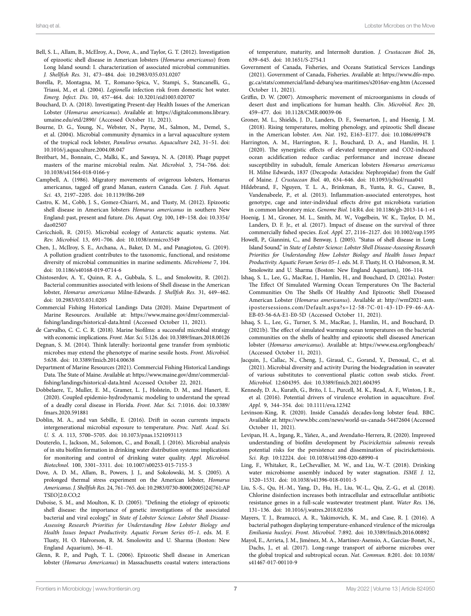- <span id="page-8-9"></span>Bell, S. L., Allam, B., McElroy, A., Dove, A., and Taylor, G. T. (2012). Investigation of epizootic shell disease in American lobsters (*Homarus americanus*) from Long Island sound: I. characterization of associated microbial communities. *J. Shellfish Res.* 31, 473–484. doi: [10.2983/035.031.0207](https://doi.org/10.2983/035.031.0207)
- <span id="page-8-32"></span>Borella, P., Montagna, M. T., Romano-Spica, V., Stampi, S., Stancanelli, G., Triassi, M., et al. (2004). *Legionella* infection risk from domestic hot water. *Emerg. Infect. Dis.* 10, 457–464. doi: [10.3201/eid1003.020707](https://doi.org/10.3201/eid1003.020707)
- <span id="page-8-10"></span>Bouchard, D. A. (2018). Investigating Present-day Health Issues of the American Lobster (*Homarus americanus*). Available at: [https://digitalcommons.library.](https://digitalcommons.library.umaine.edu/etd/2890/) [umaine.edu/etd/2890/](https://digitalcommons.library.umaine.edu/etd/2890/) (Accessed October 11, 2021).
- <span id="page-8-30"></span>Bourne, D. G., Young, N., Webster, N., Payne, M., Salmon, M., Demel, S., et al. (2004). Microbial community dynamics in a larval aquaculture system of the tropical rock lobster, *Panulirus ornatus*. *Aquaculture* 242, 31–51. doi: [10.1016/j.aquaculture.2004.08.047](https://doi.org/10.1016/j.aquaculture.2004.08.047)
- <span id="page-8-0"></span>Breitbart, M., Bonnain, C., Malki, K., and Sawaya, N. A. (2018). Phage puppet masters of the marine microbial realm. *Nat. Microbiol.* 3, 754–766. doi: [10.1038/s41564-018-0166-y](https://doi.org/10.1038/s41564-018-0166-y)
- <span id="page-8-16"></span>Campbell, A. (1986). Migratory movements of ovigerous lobsters, Homarus americanus, tagged off grand Manan, eastern Canada. *Can. J. Fish. Aquat. Sci.* 43, 2197–2205. doi: [10.1139/f86-269](https://doi.org/10.1139/f86-269)
- <span id="page-8-6"></span>Castro, K. M., Cobb, J. S., Gomez-Chiarri, M., and Tlusty, M. (2012). Epizootic shell disease in American lobsters *Homarus americanus* in southern New England: past, present and future. *Dis. Aquat. Org.* 100, 149–158. doi: [10.3354/](https://doi.org/10.3354/dao02507) [dao02507](https://doi.org/10.3354/dao02507)
- <span id="page-8-19"></span>Cavicchioli, R. (2015). Microbial ecology of Antarctic aquatic systems. *Nat. Rev. Microbiol.* 13, 691–706. doi: [10.1038/nrmicro3549](https://doi.org/10.1038/nrmicro3549)
- <span id="page-8-18"></span>Chen, J., McIlroy, S. E., Archana, A., Baker, D. M., and Panagiotou, G. (2019). A pollution gradient contributes to the taxonomic, functional, and resistome diversity of microbial communities in marine sediments. *Microbiome* 7, 104. doi: [10.1186/s40168-019-0714-6](https://doi.org/10.1186/s40168-019-0714-6)
- <span id="page-8-12"></span>Chistoserdov, A. Y., Quinn, R. A., Gubbala, S. L., and Smolowitz, R. (2012). Bacterial communities associated with lesions of Shell disease in the American lobster, *Homarus americanus* Milne-Edwards. *J. Shellfish Res.* 31, 449–462. doi: [10.2983/035.031.0205](https://doi.org/10.2983/035.031.0205)
- <span id="page-8-3"></span>Commercial Fishing Historical Landings Data (2020). Maine Department of Marine Resources. Available at: [https://www.maine.gov/dmr/commercial](https://www.maine.gov/dmr/commercial-fishing/landings/historical-data.html)[fishing/landings/historical-data.html](https://www.maine.gov/dmr/commercial-fishing/landings/historical-data.html) (Accessed October 11, 2021).
- <span id="page-8-28"></span>de Carvalho, C. C. C. R. (2018). Marine biofilms: a successful microbial strategy with economic implications. *Front. Mar. Sci.* 5:126. doi: [10.3389/fmars.2018.00126](https://doi.org/10.3389/fmars.2018.00126)
- <span id="page-8-1"></span>Degnan, S. M. (2014). Think laterally: horizontal gene transfer from symbiotic microbes may extend the phenotype of marine sessile hosts. *Front. Microbiol.* 5:638. doi: [10.3389/fmicb.2014.00638](https://doi.org/10.3389/fmicb.2014.00638)
- <span id="page-8-2"></span>Department of Marine Resources (2021). Commercial Fishing Historical Landings Data. The State of Maine. Available at: [https://www.maine.gov/dmr/commercial](https://www.maine.gov/dmr/commercial-fishing/landings/historical-data.html)[fishing/landings/historical-data.html](https://www.maine.gov/dmr/commercial-fishing/landings/historical-data.html) Accessed October 22, 2021.
- <span id="page-8-23"></span>Dobbelaere, T., Muller, E. M., Gramer, L. J., Holstein, D. M., and Hanert, E. (2020). Coupled epidemio-hydrodynamic modeling to understand the spread of a deadly coral disease in Florida. *Front. Mar. Sci.* 7:1016. doi: [10.3389/](https://doi.org/10.3389/fmars.2020.591881) [fmars.2020.591881](https://doi.org/10.3389/fmars.2020.591881)
- <span id="page-8-20"></span>Doblin, M. A., and van Sebille, E. (2016). Drift in ocean currents impacts intergenerational microbial exposure to temperature. *Proc. Natl. Acad. Sci. U. S. A.* 113, 5700–5705. doi: [10.1073/pnas.1521093113](https://doi.org/10.1073/pnas.1521093113)
- <span id="page-8-33"></span>Douterelo, I., Jackson, M., Solomon, C., and Boxall, J. (2016). Microbial analysis of in situ biofilm formation in drinking water distribution systems: implications for monitoring and control of drinking water quality. *Appl. Microbiol. Biotechnol.* 100, 3301–3311. doi: [10.1007/s00253-015-7155-3](https://doi.org/10.1007/s00253-015-7155-3)
- <span id="page-8-13"></span>Dove, A. D. M., Allam, B., Powers, J. J., and Sokolowski, M. S. (2005). A prolonged thermal stress experiment on the American lobster, *Homarus Americanus*. *J. Shellfish Res.* 24, 761–765. doi: [10.2983/0730-8000\(2005\)24\[761:AP](https://doi.org/10.2983/0730-8000(2005)24[761:APTSEO]2.0.CO;2) [TSEO\]2.0.CO;2](https://doi.org/10.2983/0730-8000(2005)24[761:APTSEO]2.0.CO;2)
- <span id="page-8-15"></span>Duboise, S. M., and Moulton, K. D. (2005). "Defining the etiology of epizootic shell disease: the importance of genetic investigations of the associated bacterial and viral ecology," in *State of Lobster Science: Lobster Shell Disease-Assessing Research Priorities for Understanding How Lobster Biology and Health Issues Impact Productivity. Aquatic Forum Series 05–1*. eds. M. F. Tlusty, H. O. Halvorson, R. M. Smolowitz and U. Sharma (Boston: New England Aquarium), 36–41.
- <span id="page-8-14"></span>Glenn, R. P., and Pugh, T. L. (2006). Epizootic Shell disease in American lobster (*Homarus Americanus*) in Massachusetts coastal waters: interactions

of temperature, maturity, and Intermolt duration. *J. Crustacean Biol.* 26, 639–645. doi: [10.1651/S-2754.1](https://doi.org/10.1651/S-2754.1)

- <span id="page-8-4"></span>Government of Canada, Fisheries, and Oceans Statistical Services Landings (2021). Government of Canada, Fisheries. Available at: [https://www.dfo-mpo.](https://www.dfo-mpo.gc.ca/stats/commercial/land-debarq/sea-maritimes/s2016av-eng.htm) [gc.ca/stats/commercial/land-debarq/sea-maritimes/s2016av-eng.htm](https://www.dfo-mpo.gc.ca/stats/commercial/land-debarq/sea-maritimes/s2016av-eng.htm) (Accessed October 11, 2021).
- <span id="page-8-21"></span>Griffin, D. W. (2007). Atmospheric movement of microorganisms in clouds of desert dust and implications for human health. *Clin. Microbiol. Rev.* 20, 459–477. doi: [10.1128/CMR.00039-06](https://doi.org/10.1128/CMR.00039-06)
- <span id="page-8-8"></span>Groner, M. L., Shields, J. D., Landers, D. F., Swenarton, J., and Hoenig, J. M. (2018). Rising temperatures, molting phenology, and epizootic Shell disease in the American lobster. *Am. Nat.* 192, E163–E177. doi: [10.1086/699478](https://doi.org/10.1086/699478)
- <span id="page-8-25"></span>Harrington, A. M., Harrington, R. J., Bouchard, D. A., and Hamlin, H. J. (2020). The synergistic effects of elevated temperature and CO2-induced ocean acidification reduce cardiac performance and increase disease susceptibility in subadult, female American lobsters *Homarus americanus* H. Milne Edwards, 1837 (Decapoda: Astacidea: Nephropidae) from the Gulf of Maine. *J. Crustacean Biol.* 40, 634–646. doi: [10.1093/jcbiol/ruaa041](https://doi.org/10.1093/jcbiol/ruaa041)
- <span id="page-8-36"></span>Hildebrand, F., Nguyen, T. L. A., Brinkman, B., Yunta, R. G., Cauwe, B., Vandenabeele, P., et al. (2013). Inflammation-associated enterotypes, host genotype, cage and inter-individual effects drive gut microbiota variation in common laboratory mice. *Genome Biol.* 14:R4. doi: [10.1186/gb-2013-14-1-r4](https://doi.org/10.1186/gb-2013-14-1-r4)
- <span id="page-8-7"></span>Hoenig, J. M., Groner, M. L., Smith, M. W., Vogelbein, W. K., Taylor, D. M., Landers, D. F. Jr., et al. (2017). Impact of disease on the survival of three commercially fished species. *Ecol. Appl.* 27, 2116–2127. doi: [10.1002/eap.1595](https://doi.org/10.1002/eap.1595)
- <span id="page-8-17"></span>Howell, P., Giannini, C., and Benway, J. (2005). "Status of shell disease in Long Island Sound," in *State of Lobster Science: Lobster Shell Disease-Assessing Research Priorities for Understanding How Lobster Biology and Health Issues Impact Productivity. Aquatic Forum Series 05–1*. eds. M. F. Tlusty, H. O. Halvorson, R. M. Smolowitz and U. Sharma (Boston: New England Aquarium), 106–114.
- <span id="page-8-11"></span>Ishaq, S. L., Lee, G., MacRae, J., Hamlin, H., and Bouchard, D. (2021a). Poster: The Effect Of Simulated Warming Ocean Temperatures On The Bacterial Communities On The Shells Of Healthy And Epizootic Shell Diseased American Lobster (*Homarus americanus*). Available at: [http://wmf2021-asm.](http://wmf2021-asm.ipostersessions.com/Default.aspx?s=12-58-7C-01-43-1D-F9-46-AA-EB-03-56-6A-E1-E0-5D) [ipostersessions.com/Default.aspx?s=12-58-7C-01-43-1D-F9-46-AA-](http://wmf2021-asm.ipostersessions.com/Default.aspx?s=12-58-7C-01-43-1D-F9-46-AA-EB-03-56-6A-E1-E0-5D)[EB-03-56-6A-E1-E0-5D](http://wmf2021-asm.ipostersessions.com/Default.aspx?s=12-58-7C-01-43-1D-F9-46-AA-EB-03-56-6A-E1-E0-5D) (Accessed October 11, 2021).
- <span id="page-8-31"></span>Ishaq, S. L., Lee, G., Turner, S. M., MacRae, J., Hamlin, H., and Bouchard, D. (2021b). The effect of simulated warming ocean temperatures on the bacterial communities on the shells of healthy and epizootic shell diseased American lobster (*Homarus americanus*). Available at: <https://www.esa.org/longbeach/> (Accessed October 11, 2021).
- <span id="page-8-26"></span>Jacquin, J., Callac, N., Cheng, J., Giraud, C., Gorand, Y., Denoual, C., et al. (2021). Microbial diversity and activity During the biodegradation in seawater of various substitutes to conventional plastic cotton swab sticks. *Front. Microbiol.* 12:604395. doi: [10.3389/fmicb.2021.604395](https://doi.org/10.3389/fmicb.2021.604395)
- <span id="page-8-27"></span>Kennedy, D. A., Kurath, G., Brito, I. L., Purcell, M. K., Read, A. F., Winton, J. R., et al. (2016). Potential drivers of virulence evolution in aquaculture. *Evol. Appl.* 9, 344–354. doi: [10.1111/eva.12342](https://doi.org/10.1111/eva.12342)
- <span id="page-8-5"></span>Levinson-King, R. (2020). Inside Canada's decades-long lobster feud. BBC. Available at: <https://www.bbc.com/news/world-us-canada-54472604> (Accessed October 11, 2021).
- <span id="page-8-29"></span>Levipan, H. A., Irgang, R., Yáñez, A., and Avendaño-Herrera, R. (2020). Improved understanding of biofilm development by *Piscirickettsia salmonis* reveals potential risks for the persistence and dissemination of piscirickettsiosis. *Sci. Rep.* 10:12224. doi: [10.1038/s41598-020-68990-4](https://doi.org/10.1038/s41598-020-68990-4)
- <span id="page-8-34"></span>Ling, F., Whitaker, R., LeChevallier, M. W., and Liu, W.-T. (2018). Drinking water microbiome assembly induced by water stagnation. *ISME J.* 12, 1520–1531. doi: [10.1038/s41396-018-0101-5](https://doi.org/10.1038/s41396-018-0101-5)
- <span id="page-8-35"></span>Liu, S.-S., Qu, H.-M., Yang, D., Hu, H., Liu, W.-L., Qiu, Z.-G., et al. (2018). Chlorine disinfection increases both intracellular and extracellular antibiotic resistance genes in a full-scale wastewater treatment plant. *Water Res.* 136, 131–136. doi: [10.1016/j.watres.2018.02.036](https://doi.org/10.1016/j.watres.2018.02.036)
- <span id="page-8-24"></span>Mayers, T. J., Bramucci, A. R., Yakimovich, K. M., and Case, R. J. (2016). A bacterial pathogen displaying temperature-enhanced virulence of the microalga *Emiliania huxleyi*. *Front. Microbiol.* 7:892. doi: [10.3389/fmicb.2016.00892](https://doi.org/10.3389/fmicb.2016.00892)
- <span id="page-8-22"></span>Mayol, E., Arrieta, J. M., Jiménez, M. A., Martínez-Asensio, A., Garcias-Bonet, N., Dachs, J., et al. (2017). Long-range transport of airborne microbes over the global tropical and subtropical ocean. *Nat. Commun.* 8:201. doi: [10.1038/](https://doi.org/10.1038/s41467-017-00110-9) [s41467-017-00110-9](https://doi.org/10.1038/s41467-017-00110-9)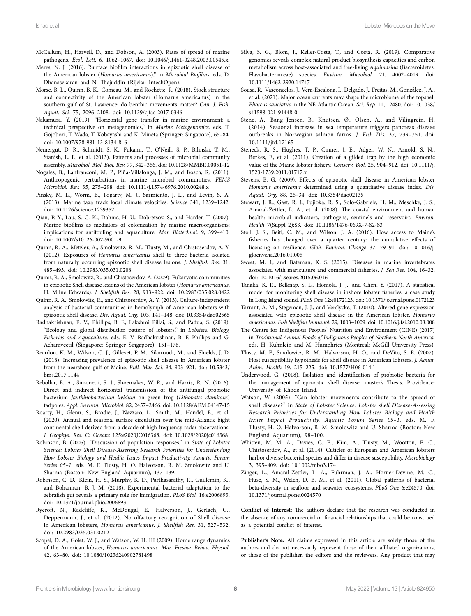- <span id="page-9-27"></span>McCallum, H., Harvell, D., and Dobson, A. (2003). Rates of spread of marine pathogens. *Ecol. Lett.* 6, 1062–1067. doi: [10.1046/j.1461-0248.2003.00545.x](https://doi.org/10.1046/j.1461-0248.2003.00545.x)
- <span id="page-9-9"></span>Meres, N. J. (2016). "Surface biofilm interactions in epizootic shell disease of the American lobster (*Homarus americanus*)," in *Microbial Biofilms*. eds. D. Dhanasekaran and N. Thajuddin (Rijeka: IntechOpen).
- <span id="page-9-18"></span>Morse, B. L., Quinn, B. K., Comeau, M., and Rochette, R. (2018). Stock structure and connectivity of the American lobster (Homarus americanus) in the southern gulf of St. Lawrence: do benthic movements matter? *Can. J. Fish. Aquat. Sci.* 75, 2096–2108. doi: [10.1139/cjfas-2017-0346](https://doi.org/10.1139/cjfas-2017-0346)
- <span id="page-9-1"></span>Nakamura, Y. (2019). "Horizontal gene transfer in marine environment: a technical perspective on metagenomics," in *Marine Metagenomics*. eds. T. Gojobori, T. Wada, T. Kobayashi and K. Mineta (Springer: Singapore), 65–84. doi: [10.1007/978-981-13-8134-8\\_6](https://doi.org/10.1007/978-981-13-8134-8_6)
- <span id="page-9-33"></span>Nemergut, D. R., Schmidt, S. K., Fukami, T., O'Neill, S. P., Bilinski, T. M., Stanish, L. F., et al. (2013). Patterns and processes of microbial community assembly. *Microbiol. Mol. Biol. Rev.* 77, 342–356. doi: [10.1128/MMBR.00051-12](https://doi.org/10.1128/MMBR.00051-12)
- <span id="page-9-22"></span>Nogales, B., Lanfranconi, M. P., Piña-Villalonga, J. M., and Bosch, R. (2011). Anthropogenic perturbations in marine microbial communities. *FEMS Microbiol. Rev.* 35, 275–298. doi: [10.1111/j.1574-6976.2010.00248.x](https://doi.org/10.1111/j.1574-6976.2010.00248.x)
- <span id="page-9-2"></span>Pinsky, M. L., Worm, B., Fogarty, M. J., Sarmiento, J. L., and Levin, S. A. (2013). Marine taxa track local climate velocities. *Science* 341, 1239–1242. doi: [10.1126/science.1239352](https://doi.org/10.1126/science.1239352)
- <span id="page-9-32"></span>Qian, P.-Y., Lau, S. C. K., Dahms, H.-U., Dobretsov, S., and Harder, T. (2007). Marine biofilms as mediators of colonization by marine macroorganisms: implications for antifouling and aquaculture. *Mar. Biotechnol.* 9, 399–410. doi: [10.1007/s10126-007-9001-9](https://doi.org/10.1007/s10126-007-9001-9)
- <span id="page-9-14"></span>Quinn, R. A., Metzler, A., Smolowitz, R. M., Tlusty, M., and Chistoserdov, A. Y. (2012). Exposures of *Homarus americanus* shell to three bacteria isolated from naturally occurring epizootic shell disease lesions. *J. Shellfish Res.* 31, 485–493. doi: [10.2983/035.031.0208](https://doi.org/10.2983/035.031.0208)
- <span id="page-9-13"></span>Quinn, R. A., Smolowitz, R., and Chistoserdov, A. (2009). Eukaryotic communities in epizootic Shell disease lesions of the American lobster (*Homarus americanus*, H. Milne Edwards). *J. Shellfish Res.* 28, 913–922. doi: [10.2983/035.028.0422](https://doi.org/10.2983/035.028.0422)
- <span id="page-9-11"></span>Quinn, R. A., Smolowitz, R., and Chistoserdov, A. Y. (2013). Culture-independent analysis of bacterial communities in hemolymph of American lobsters with epizootic shell disease. *Dis. Aquat. Org.* 103, 141–148. doi: [10.3354/dao02565](https://doi.org/10.3354/dao02565)
- <span id="page-9-0"></span>Radhakrishnan, E. V., Phillips, B. F., Lakshmi Pillai, S., and Padua, S. (2019). "Ecology and global distribution pattern of lobsters," in *Lobsters: Biology, Fisheries and Aquaculture*. eds. E. V. Radhakrishnan, B. F. Phillips and G. Achamveetil (Singapore: Springer Singapore), 151–176.
- <span id="page-9-12"></span>Reardon, K. M., Wilson, C. J., Gillevet, P. M., Sikaroodi, M., and Shields, J. D. (2018). Increasing prevalence of epizootic shell disease in American lobster from the nearshore gulf of Maine. *Bull. Mar. Sci.* 94, 903–921. doi: [10.5343/](https://doi.org/10.5343/bms.2017.1144) [bms.2017.1144](https://doi.org/10.5343/bms.2017.1144)
- <span id="page-9-30"></span>Rebollar, E. A., Simonetti, S. J., Shoemaker, W. R., and Harris, R. N. (2016). Direct and indirect horizontal transmission of the antifungal probiotic bacterium *Janthinobacterium lividum* on green frog (*Lithobates clamitans*) tadpoles. *Appl. Environ. Microbiol.* 82, 2457–2466. doi: [10.1128/AEM.04147-15](https://doi.org/10.1128/AEM.04147-15)
- <span id="page-9-25"></span>Roarty, H., Glenn, S., Brodie, J., Nazzaro, L., Smith, M., Handel, E., et al. (2020). Annual and seasonal surface circulation over the mid-Atlantic bight continental shelf derived from a decade of high frequency radar observations. *J. Geophys. Res. C: Oceans* 125:e2020JC016368. doi: [10.1029/2020jc016368](https://doi.org/10.1029/2020jc016368)
- <span id="page-9-26"></span>Robinson, B. (2005). "Discussion of population responses," in *State of Lobster Science: Lobster Shell Disease-Assessing Research Priorities for Understanding How Lobster Biology and Health Issues Impact Productivity. Aquatic Forum Series 05–1*. eds. M. F. Tlusty, H. O. Halvorson, R. M. Smolowitz and U. Sharma (Boston: New England Aquarium), 137–139.
- <span id="page-9-29"></span>Robinson, C. D., Klein, H. S., Murphy, K. D., Parthasarathy, R., Guillemin, K., and Bohannan, B. J. M. (2018). Experimental bacterial adaptation to the zebrafish gut reveals a primary role for immigration. *PLoS Biol.* 16:e2006893. doi: [10.1371/journal.pbio.2006893](https://doi.org/10.1371/journal.pbio.2006893)
- <span id="page-9-20"></span>Rycroft, N., Radcliffe, K., McDougal, E., Halverson, J., Gerlach, G., Deppermann, J., et al. (2012). No olfactory recognition of Shell disease in American lobsters, *Homarus americanus*. *J. Shellfish Res.* 31, 527–532. doi: [10.2983/035.031.0212](https://doi.org/10.2983/035.031.0212)
- <span id="page-9-17"></span>Scopel, D. A., Golet, W. J., and Watson, W. H. III (2009). Home range dynamics of the American lobster, *Homarus americanus*. *Mar. Freshw. Behav. Physiol.* 42, 63–80. doi: [10.1080/10236240902781498](https://doi.org/10.1080/10236240902781498)
- <span id="page-9-31"></span>Silva, S. G., Blom, J., Keller-Costa, T., and Costa, R. (2019). Comparative genomics reveals complex natural product biosynthesis capacities and carbon metabolism across host-associated and free-living *Aquimarina* (Bacteroidetes, Flavobacteriaceae) species. *Environ. Microbiol.* 21, 4002–4019. doi: [10.1111/1462-2920.14747](https://doi.org/10.1111/1462-2920.14747)
- <span id="page-9-24"></span>Sousa, R., Vasconcelos, J., Vera-Escalona, I., Delgado, J., Freitas, M., González, J. A., et al. (2021). Major ocean currents may shape the microbiome of the topshell *Phorcus sauciatus* in the NE Atlantic Ocean. *Sci. Rep.* 11, 12480. doi: [10.1038/](https://doi.org/10.1038/s41598-021-91448-0) [s41598-021-91448-0](https://doi.org/10.1038/s41598-021-91448-0)
- <span id="page-9-28"></span>Stene, A., Bang Jensen, B., Knutsen, Ø., Olsen, A., and Viljugrein, H. (2014). Seasonal increase in sea temperature triggers pancreas disease outbreaks in Norwegian salmon farms. *J. Fish Dis.* 37, 739–751. doi: [10.1111/jfd.12165](https://doi.org/10.1111/jfd.12165)
- <span id="page-9-4"></span>Steneck, R. S., Hughes, T. P., Cinner, J. E., Adger, W. N., Arnold, S. N., Berkes, F., et al. (2011). Creation of a gilded trap by the high economic value of the Maine lobster fishery. *Conserv. Biol.* 25, 904–912. doi: [10.1111/j.](https://doi.org/10.1111/j.1523-1739.2011.01717.x) [1523-1739.2011.01717.x](https://doi.org/10.1111/j.1523-1739.2011.01717.x)
- <span id="page-9-19"></span>Stevens, B. G. (2009). Effects of epizootic shell disease in American lobster *Homarus americanus* determined using a quantitative disease index. *Dis. Aquat. Org.* 88, 25–34. doi: [10.3354/dao02135](https://doi.org/10.3354/dao02135)
- <span id="page-9-21"></span>Stewart, J. R., Gast, R. J., Fujioka, R. S., Solo-Gabriele, H. M., Meschke, J. S., Amaral-Zettler, L. A., et al. (2008). The coastal environment and human health: microbial indicators, pathogens, sentinels and reservoirs. *Environ. Health* 7(Suppl 2):S3. doi: [10.1186/1476-069X-7-S2-S3](https://doi.org/10.1186/1476-069X-7-S2-S3)
- <span id="page-9-5"></span>Stoll, J. S., Beitl, C. M., and Wilson, J. A. (2016). How access to Maine's fisheries has changed over a quarter century: the cumulative effects of licensing on resilience. *Glob. Environ. Change* 37, 79–91. doi: [10.1016/j.](https://doi.org/10.1016/j.gloenvcha.2016.01.005) [gloenvcha.2016.01.005](https://doi.org/10.1016/j.gloenvcha.2016.01.005)
- <span id="page-9-7"></span>Sweet, M. J., and Bateman, K. S. (2015). Diseases in marine invertebrates associated with mariculture and commercial fisheries. *J. Sea Res.* 104, 16–32. doi: [10.1016/j.seares.2015.06.016](https://doi.org/10.1016/j.seares.2015.06.016)
- <span id="page-9-16"></span>Tanaka, K. R., Belknap, S. L., Homola, J. J., and Chen, Y. (2017). A statistical model for monitoring shell disease in inshore lobster fisheries: a case study in Long Island sound. *PLoS One* 12:e0172123. doi: [10.1371/journal.pone.0172123](https://doi.org/10.1371/journal.pone.0172123)
- <span id="page-9-15"></span>Tarrant, A. M., Stegeman, J. J., and Verslycke, T. (2010). Altered gene expression associated with epizootic shell disease in the American lobster, *Homarus americanus*. *Fish Shellfish Immunol.* 29, 1003–1009. doi: [10.1016/j.fsi.2010.08.008](https://doi.org/10.1016/j.fsi.2010.08.008)
- <span id="page-9-3"></span>The Centre for Indigenous Peoples' Nutrition and Environment (CINE) (2017) in *Traditional Animal Foods of Indigenous Peoples of Northern North America*. eds. H. Kuhnlein and M. Humphries (Montreal: McGill University Press)
- <span id="page-9-6"></span>Tlusty, M. F., Smolowitz, R. M., Halvorson, H. O., and DeVito, S. E. (2007). Host susceptibility hypothesis for shell disease in American lobsters. *J. Aquat. Anim. Health* 19, 215–225. doi: [10.1577/H06-014.1](https://doi.org/10.1577/H06-014.1)
- <span id="page-9-34"></span>Underwood, G. (2018). Isolation and identification of probiotic bacteria for the management of epizootic shell disease. master's Thesis. Providence: University of Rhode Island.
- <span id="page-9-8"></span>Watson, W. (2005). "Can lobster movements contribute to the spread of shell disease?" in *State of Lobster Science: Lobster shell Disease-Assessing Research Priorities for Understanding How Lobster Biology and Health Issues Impact Productivity. Aquatic Forum Series 05–1*. eds. M. F. Tlusty, H. O. Halvorson, R. M. Smolowitz and U. Sharma (Boston: New England Aquarium), 98–100.
- <span id="page-9-10"></span>Whitten, M. M. A., Davies, C. E., Kim, A., Tlusty, M., Wootton, E. C., Chistoserdov, A., et al. (2014). Cuticles of European and American lobsters harbor diverse bacterial species and differ in disease susceptibility. *Microbiology* 3, 395–409. doi: [10.1002/mbo3.174](https://doi.org/10.1002/mbo3.174)
- <span id="page-9-23"></span>Zinger, L., Amaral-Zettler, L. A., Fuhrman, J. A., Horner-Devine, M. C., Huse, S. M., Welch, D. B. M., et al. (2011). Global patterns of bacterial beta-diversity in seafloor and seawater ecosystems. *PLoS One* 6:e24570. doi: [10.1371/journal.pone.0024570](https://doi.org/10.1371/journal.pone.0024570)

**Conflict of Interest:** The authors declare that the research was conducted in the absence of any commercial or financial relationships that could be construed as a potential conflict of interest.

**Publisher's Note:** All claims expressed in this article are solely those of the authors and do not necessarily represent those of their affiliated organizations, or those of the publisher, the editors and the reviewers. Any product that may